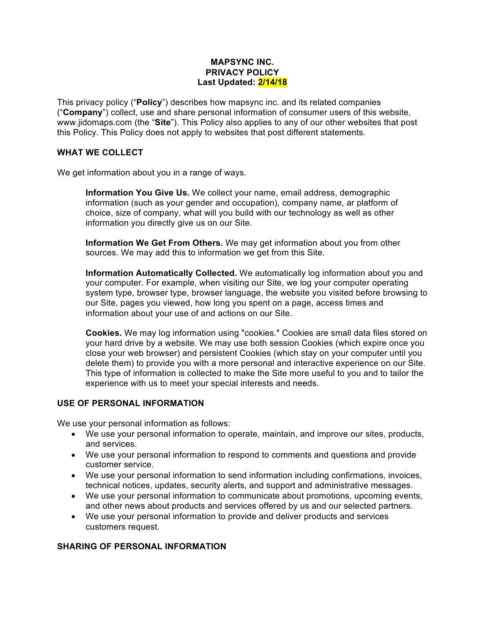### **MAPSYNC INC. PRIVACY POLICY Last Updated: 2/14/18**

This privacy policy ("**Policy**") describes how mapsync inc. and its related companies ("**Company**") collect, use and share personal information of consumer users of this website, www.jidomaps.com (the "**Site**"). This Policy also applies to any of our other websites that post this Policy. This Policy does not apply to websites that post different statements.

## **WHAT WE COLLECT**

We get information about you in a range of ways.

**Information You Give Us.** We collect your name, email address, demographic information (such as your gender and occupation), company name, ar platform of choice, size of company, what will you build with our technology as well as other information you directly give us on our Site.

**Information We Get From Others.** We may get information about you from other sources. We may add this to information we get from this Site.

**Information Automatically Collected.** We automatically log information about you and your computer. For example, when visiting our Site, we log your computer operating system type, browser type, browser language, the website you visited before browsing to our Site, pages you viewed, how long you spent on a page, access times and information about your use of and actions on our Site.

**Cookies.** We may log information using "cookies." Cookies are small data files stored on your hard drive by a website. We may use both session Cookies (which expire once you close your web browser) and persistent Cookies (which stay on your computer until you delete them) to provide you with a more personal and interactive experience on our Site. This type of information is collected to make the Site more useful to you and to tailor the experience with us to meet your special interests and needs.

#### **USE OF PERSONAL INFORMATION**

We use your personal information as follows:

- We use your personal information to operate, maintain, and improve our sites, products, and services.
- We use your personal information to respond to comments and questions and provide customer service.
- We use your personal information to send information including confirmations, invoices, technical notices, updates, security alerts, and support and administrative messages.
- We use your personal information to communicate about promotions, upcoming events, and other news about products and services offered by us and our selected partners.
- We use your personal information to provide and deliver products and services customers request.

#### **SHARING OF PERSONAL INFORMATION**